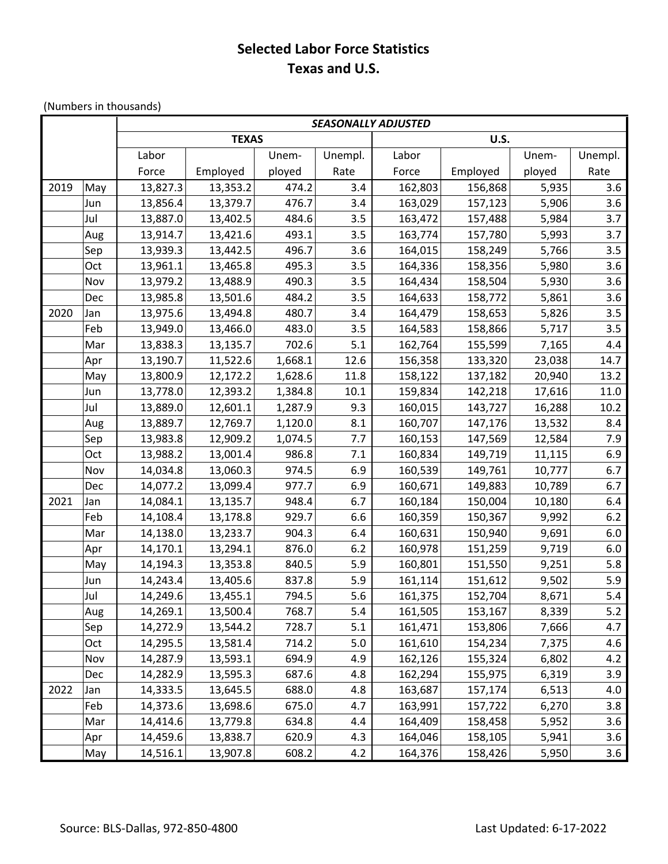## **Selected Labor Force Statistics Texas and U.S.**

(Numbers in thousands)

|      |     | <b>SEASONALLY ADJUSTED</b>  |          |         |         |         |          |        |         |  |  |
|------|-----|-----------------------------|----------|---------|---------|---------|----------|--------|---------|--|--|
|      |     | <b>TEXAS</b><br><b>U.S.</b> |          |         |         |         |          |        |         |  |  |
|      |     | Labor                       |          | Unem-   | Unempl. | Labor   |          | Unem-  | Unempl. |  |  |
|      |     | Force                       | Employed | ployed  | Rate    | Force   | Employed | ployed | Rate    |  |  |
| 2019 | May | 13,827.3                    | 13,353.2 | 474.2   | 3.4     | 162,803 | 156,868  | 5,935  | 3.6     |  |  |
|      | Jun | 13,856.4                    | 13,379.7 | 476.7   | 3.4     | 163,029 | 157,123  | 5,906  | 3.6     |  |  |
|      | Jul | 13,887.0                    | 13,402.5 | 484.6   | 3.5     | 163,472 | 157,488  | 5,984  | 3.7     |  |  |
|      | Aug | 13,914.7                    | 13,421.6 | 493.1   | 3.5     | 163,774 | 157,780  | 5,993  | 3.7     |  |  |
|      | Sep | 13,939.3                    | 13,442.5 | 496.7   | 3.6     | 164,015 | 158,249  | 5,766  | 3.5     |  |  |
|      | Oct | 13,961.1                    | 13,465.8 | 495.3   | 3.5     | 164,336 | 158,356  | 5,980  | 3.6     |  |  |
|      | Nov | 13,979.2                    | 13,488.9 | 490.3   | 3.5     | 164,434 | 158,504  | 5,930  | 3.6     |  |  |
|      | Dec | 13,985.8                    | 13,501.6 | 484.2   | 3.5     | 164,633 | 158,772  | 5,861  | 3.6     |  |  |
| 2020 | Jan | 13,975.6                    | 13,494.8 | 480.7   | 3.4     | 164,479 | 158,653  | 5,826  | 3.5     |  |  |
|      | Feb | 13,949.0                    | 13,466.0 | 483.0   | 3.5     | 164,583 | 158,866  | 5,717  | 3.5     |  |  |
|      | Mar | 13,838.3                    | 13,135.7 | 702.6   | 5.1     | 162,764 | 155,599  | 7,165  | 4.4     |  |  |
|      | Apr | 13,190.7                    | 11,522.6 | 1,668.1 | 12.6    | 156,358 | 133,320  | 23,038 | 14.7    |  |  |
|      | May | 13,800.9                    | 12,172.2 | 1,628.6 | 11.8    | 158,122 | 137,182  | 20,940 | 13.2    |  |  |
|      | Jun | 13,778.0                    | 12,393.2 | 1,384.8 | 10.1    | 159,834 | 142,218  | 17,616 | 11.0    |  |  |
|      | Jul | 13,889.0                    | 12,601.1 | 1,287.9 | 9.3     | 160,015 | 143,727  | 16,288 | 10.2    |  |  |
|      | Aug | 13,889.7                    | 12,769.7 | 1,120.0 | 8.1     | 160,707 | 147,176  | 13,532 | 8.4     |  |  |
|      | Sep | 13,983.8                    | 12,909.2 | 1,074.5 | 7.7     | 160,153 | 147,569  | 12,584 | 7.9     |  |  |
|      | Oct | 13,988.2                    | 13,001.4 | 986.8   | 7.1     | 160,834 | 149,719  | 11,115 | 6.9     |  |  |
|      | Nov | 14,034.8                    | 13,060.3 | 974.5   | 6.9     | 160,539 | 149,761  | 10,777 | 6.7     |  |  |
|      | Dec | 14,077.2                    | 13,099.4 | 977.7   | 6.9     | 160,671 | 149,883  | 10,789 | 6.7     |  |  |
| 2021 | Jan | 14,084.1                    | 13,135.7 | 948.4   | 6.7     | 160,184 | 150,004  | 10,180 | 6.4     |  |  |
|      | Feb | 14,108.4                    | 13,178.8 | 929.7   | 6.6     | 160,359 | 150,367  | 9,992  | 6.2     |  |  |
|      | Mar | 14,138.0                    | 13,233.7 | 904.3   | 6.4     | 160,631 | 150,940  | 9,691  | 6.0     |  |  |
|      | Apr | 14,170.1                    | 13,294.1 | 876.0   | 6.2     | 160,978 | 151,259  | 9,719  | 6.0     |  |  |
|      | May | 14,194.3                    | 13,353.8 | 840.5   | 5.9     | 160,801 | 151,550  | 9,251  | 5.8     |  |  |
|      | Jun | 14,243.4                    | 13,405.6 | 837.8   | 5.9     | 161,114 | 151,612  | 9,502  | 5.9     |  |  |
|      | Jul | 14,249.6                    | 13,455.1 | 794.5   | 5.6     | 161,375 | 152,704  | 8,671  | 5.4     |  |  |
|      | Aug | 14,269.1                    | 13,500.4 | 768.7   | 5.4     | 161,505 | 153,167  | 8,339  | 5.2     |  |  |
|      | Sep | 14,272.9                    | 13,544.2 | 728.7   | 5.1     | 161,471 | 153,806  | 7,666  | 4.7     |  |  |
|      | Oct | 14,295.5                    | 13,581.4 | 714.2   | $5.0$   | 161,610 | 154,234  | 7,375  | 4.6     |  |  |
|      | Nov | 14,287.9                    | 13,593.1 | 694.9   | 4.9     | 162,126 | 155,324  | 6,802  | 4.2     |  |  |
|      | Dec | 14,282.9                    | 13,595.3 | 687.6   | 4.8     | 162,294 | 155,975  | 6,319  | 3.9     |  |  |
| 2022 | Jan | 14,333.5                    | 13,645.5 | 688.0   | 4.8     | 163,687 | 157,174  | 6,513  | 4.0     |  |  |
|      | Feb | 14,373.6                    | 13,698.6 | 675.0   | 4.7     | 163,991 | 157,722  | 6,270  | 3.8     |  |  |
|      | Mar | 14,414.6                    | 13,779.8 | 634.8   | 4.4     | 164,409 | 158,458  | 5,952  | 3.6     |  |  |
|      | Apr | 14,459.6                    | 13,838.7 | 620.9   | 4.3     | 164,046 | 158,105  | 5,941  | 3.6     |  |  |
|      | May | 14,516.1                    | 13,907.8 | 608.2   | 4.2     | 164,376 | 158,426  | 5,950  | 3.6     |  |  |